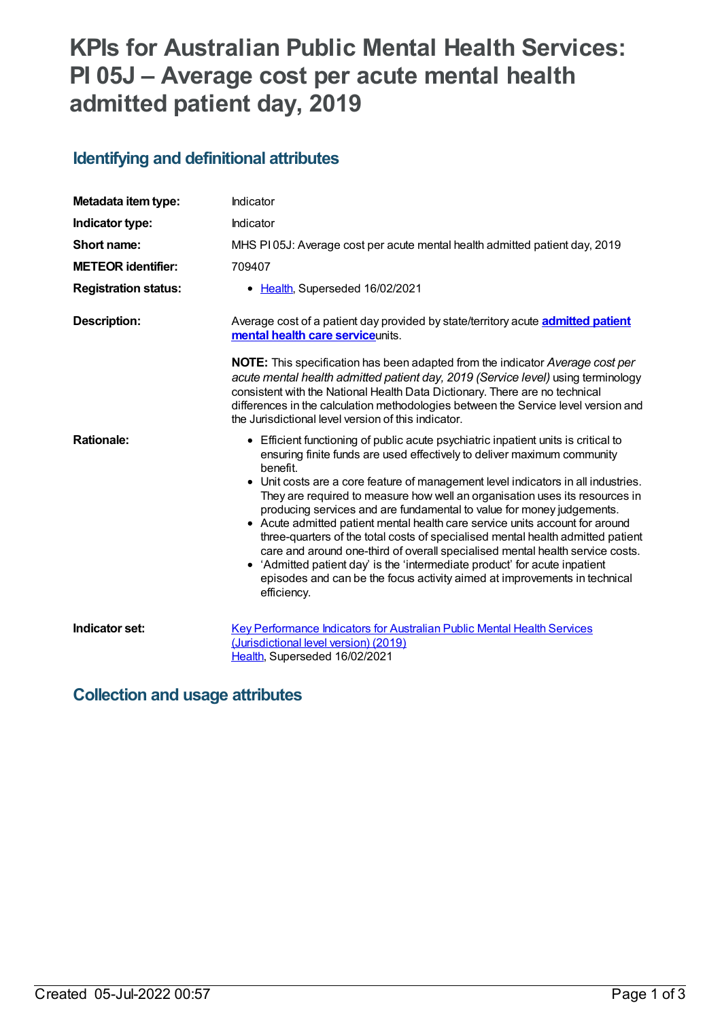# **KPIs for Australian Public Mental Health Services: PI 05J – Average cost per acute mental health admitted patient day, 2019**

## **Identifying and definitional attributes**

| Metadata item type:         | Indicator                                                                                                                                                                                                                                                                                                                                                                                                                                                                                                                                                                                                                                                                                                                                                                                                                                            |
|-----------------------------|------------------------------------------------------------------------------------------------------------------------------------------------------------------------------------------------------------------------------------------------------------------------------------------------------------------------------------------------------------------------------------------------------------------------------------------------------------------------------------------------------------------------------------------------------------------------------------------------------------------------------------------------------------------------------------------------------------------------------------------------------------------------------------------------------------------------------------------------------|
| Indicator type:             | Indicator                                                                                                                                                                                                                                                                                                                                                                                                                                                                                                                                                                                                                                                                                                                                                                                                                                            |
| Short name:                 | MHS PI05J: Average cost per acute mental health admitted patient day, 2019                                                                                                                                                                                                                                                                                                                                                                                                                                                                                                                                                                                                                                                                                                                                                                           |
| <b>METEOR identifier:</b>   | 709407                                                                                                                                                                                                                                                                                                                                                                                                                                                                                                                                                                                                                                                                                                                                                                                                                                               |
| <b>Registration status:</b> | • Health, Superseded 16/02/2021                                                                                                                                                                                                                                                                                                                                                                                                                                                                                                                                                                                                                                                                                                                                                                                                                      |
| <b>Description:</b>         | Average cost of a patient day provided by state/territory acute <b>admitted patient</b><br>mental health care serviceunits.                                                                                                                                                                                                                                                                                                                                                                                                                                                                                                                                                                                                                                                                                                                          |
|                             | <b>NOTE:</b> This specification has been adapted from the indicator Average cost per<br>acute mental health admitted patient day, 2019 (Service level) using terminology<br>consistent with the National Health Data Dictionary. There are no technical<br>differences in the calculation methodologies between the Service level version and<br>the Jurisdictional level version of this indicator.                                                                                                                                                                                                                                                                                                                                                                                                                                                 |
| <b>Rationale:</b>           | • Efficient functioning of public acute psychiatric inpatient units is critical to<br>ensuring finite funds are used effectively to deliver maximum community<br>benefit.<br>• Unit costs are a core feature of management level indicators in all industries.<br>They are required to measure how well an organisation uses its resources in<br>producing services and are fundamental to value for money judgements.<br>• Acute admitted patient mental health care service units account for around<br>three-quarters of the total costs of specialised mental health admitted patient<br>care and around one-third of overall specialised mental health service costs.<br>• 'Admitted patient day' is the 'intermediate product' for acute inpatient<br>episodes and can be the focus activity aimed at improvements in technical<br>efficiency. |
| Indicator set:              | <b>Key Performance Indicators for Australian Public Mental Health Services</b><br>(Jurisdictional level version) (2019)<br>Health, Superseded 16/02/2021                                                                                                                                                                                                                                                                                                                                                                                                                                                                                                                                                                                                                                                                                             |

#### **Collection and usage attributes**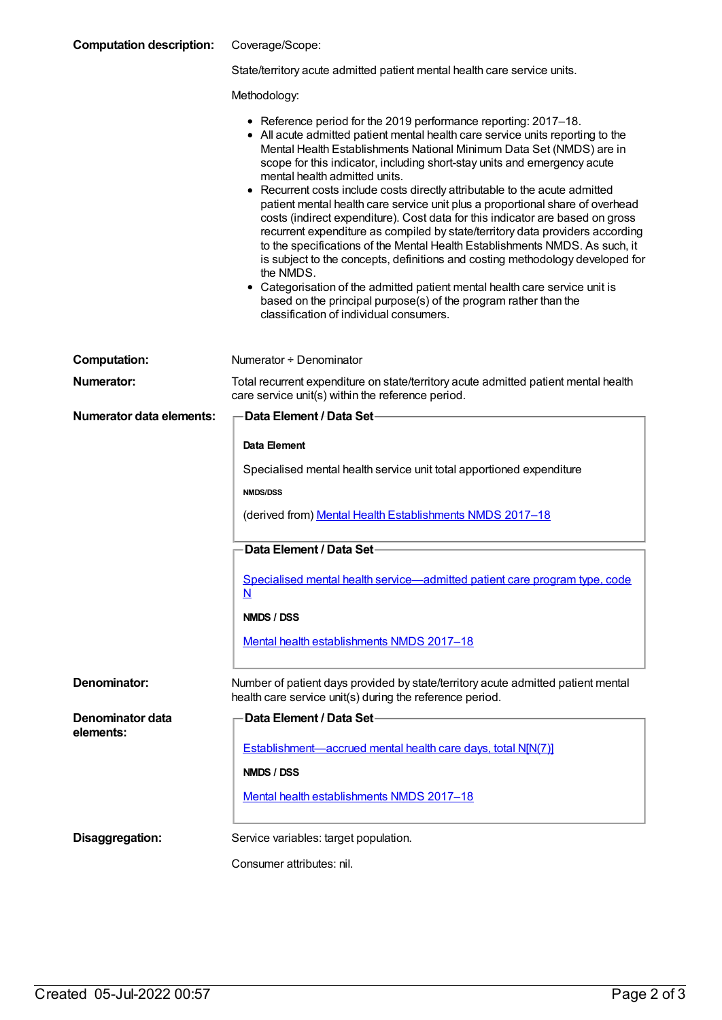| <b>Computation description:</b> Coverage/Scope: |                                                                          |
|-------------------------------------------------|--------------------------------------------------------------------------|
|                                                 | State/territory acute admitted patient mental health care service units. |

Methodology:

|  |  | • Reference period for the 2019 performance reporting: 2017-18. |
|--|--|-----------------------------------------------------------------|
|--|--|-----------------------------------------------------------------|

- All acute admitted patient mental health care service units reporting to the Mental Health Establishments National Minimum Data Set (NMDS) are in scope for this indicator, including short-stay units and emergency acute mental health admitted units.
- Recurrent costs include costs directly attributable to the acute admitted patient mental health care service unit plus a proportional share of overhead costs (indirect expenditure). Cost data for this indicator are based on gross recurrent expenditure as compiled by state/territory data providers according to the specifications of the Mental Health Establishments NMDS. As such, it is subject to the concepts, definitions and costing methodology developed for the NMDS.
- Categorisation of the admitted patient mental health care service unit is based on the principal purpose(s) of the program rather than the classification of individual consumers.

| <b>Computation:</b>      | Numerator + Denominator                                                                                                                      |
|--------------------------|----------------------------------------------------------------------------------------------------------------------------------------------|
| Numerator:               | Total recurrent expenditure on state/territory acute admitted patient mental health<br>care service unit(s) within the reference period.     |
| Numerator data elements: | Data Element / Data Set-                                                                                                                     |
|                          | Data Element                                                                                                                                 |
|                          | Specialised mental health service unit total apportioned expenditure                                                                         |
|                          |                                                                                                                                              |
|                          | <b>NMDS/DSS</b>                                                                                                                              |
|                          | (derived from) Mental Health Establishments NMDS 2017-18                                                                                     |
|                          | Data Element / Data Set-                                                                                                                     |
|                          |                                                                                                                                              |
|                          | Specialised mental health service-admitted patient care program type, code                                                                   |
|                          | N                                                                                                                                            |
|                          | NMDS / DSS                                                                                                                                   |
|                          | Mental health establishments NMDS 2017-18                                                                                                    |
|                          |                                                                                                                                              |
| Denominator:             | Number of patient days provided by state/territory acute admitted patient mental<br>health care service unit(s) during the reference period. |
| Denominator data         | Data Element / Data Set-                                                                                                                     |
| elements:                | Establishment—accrued mental health care days, total N[N(7)]                                                                                 |
|                          |                                                                                                                                              |
|                          | NMDS / DSS                                                                                                                                   |
|                          | Mental health establishments NMDS 2017-18                                                                                                    |
|                          |                                                                                                                                              |
| Disaggregation:          | Service variables: target population.                                                                                                        |
|                          | Consumer attributes: nil.                                                                                                                    |